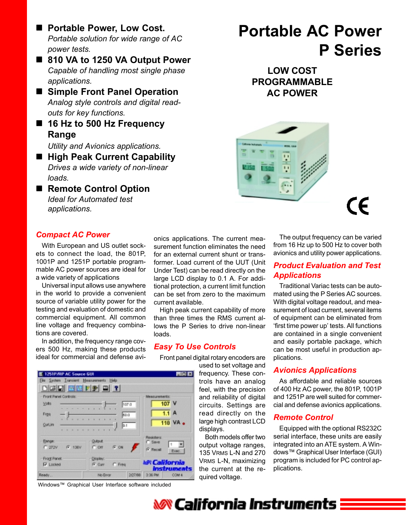- Portable Power, Low Cost. *Portable solution for wide range of AC power tests.*
- 810 VA to 1250 VA Output Power *Capable of handling most single phase applications.*
- Simple Front Panel Operation *Analog style controls and digital readouts for key functions.*
- 16 Hz to 500 Hz Frequency **Range**

*Utility and Avionics applications.*

- High Peak Current Capability *Drives a wide variety of non-linear loads.*
- Remote Control Option *Ideal for Automated test applications.*

# **Portable AC Power P Series**

**LOW COST PROGRAMMABLE AC POWER**



(E

# *Compact AC Power*

With European and US outlet sockets to connect the load, the 801P, 1001P and 1251P portable programmable AC power sources are ideal for a wide variety of applications

Universal input allows use anywhere in the world to provide a convenient source of variable utility power for the testing and evaluation of domestic and commercial equipment. All common line voltage and frequency combinations are covered.

In addition, the frequency range covers 500 Hz, making these products ideal for commercial and defense avi-

onics applications. The current measurement function eliminates the need for an external current shunt or transformer. Load current of the UUT (Unit Under Test) can be read directly on the large LCD display to 0.1 A. For additional protection, a current limit function can be set from zero to the maximum current available.

High peak current capability of more than three times the RMS current allows the P Series to drive non-linear loads.

### *Easy To Use Controls*

Front panel digital rotary encoders are

used to set voltage and frequency. These controls have an analog feel, with the precision and reliability of digital circuits. Settings are read directly on the large high contrast LCD displays.

Both models offer two output voltage ranges, 135 VRMS L-N and 270 VRMS L-N, maximizing the current at the required voltage.

The output frequency can be varied from 16 Hz up to 500 Hz to cover both avionics and utility power applications.

# *Product Evaluation and Test Applications*

Traditional Variac tests can be automated using the P Series AC sources. With digital voltage readout, and measurement of load current, several items of equipment can be eliminated from 'first time power up' tests. All functions are contained in a single convenient and easily portable package, which can be most useful in production applications.

# *Avionics Applications*

As affordable and reliable sources of 400 Hz AC power, the 801P, 1001P and 1251P are well suited for commercial and defense avionics applications.

#### *Remote Control*

Equipped with the optional RS232C serial interface, these units are easily integrated into an ATE system. A Windows™ Graphical User Interface (GUI) program is included for PC control applications.



Windows™ Graphical User Interface software included